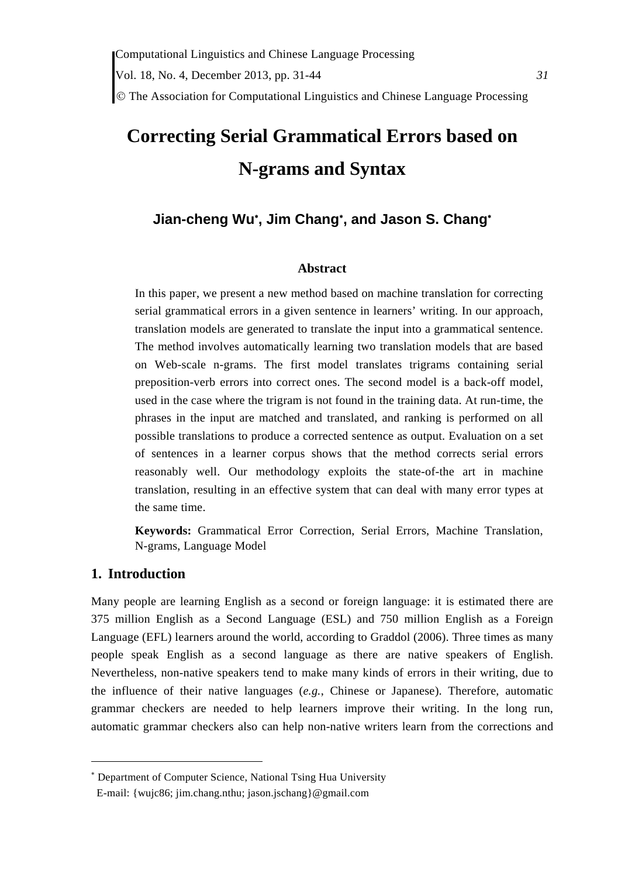The Association for Computational Linguistics and Chinese Language Processing

# **Correcting Serial Grammatical Errors based on N-grams and Syntax**

# **Jian-cheng Wu , Jim Chang , and Jason S. Chang**

#### **Abstract**

In this paper, we present a new method based on machine translation for correcting serial grammatical errors in a given sentence in learners' writing. In our approach, translation models are generated to translate the input into a grammatical sentence. The method involves automatically learning two translation models that are based on Web-scale n-grams. The first model translates trigrams containing serial preposition-verb errors into correct ones. The second model is a back-off model, used in the case where the trigram is not found in the training data. At run-time, the phrases in the input are matched and translated, and ranking is performed on all possible translations to produce a corrected sentence as output. Evaluation on a set of sentences in a learner corpus shows that the method corrects serial errors reasonably well. Our methodology exploits the state-of-the art in machine translation, resulting in an effective system that can deal with many error types at the same time.

**Keywords:** Grammatical Error Correction, Serial Errors, Machine Translation, N-grams, Language Model

### **1. Introduction**

Many people are learning English as a second or foreign language: it is estimated there are 375 million English as a Second Language (ESL) and 750 million English as a Foreign Language (EFL) learners around the world, according to Graddol (2006). Three times as many people speak English as a second language as there are native speakers of English. Nevertheless, non-native speakers tend to make many kinds of errors in their writing, due to the influence of their native languages (*e.g.*, Chinese or Japanese). Therefore, automatic grammar checkers are needed to help learners improve their writing. In the long run, automatic grammar checkers also can help non-native writers learn from the corrections and

 Department of Computer Science, National Tsing Hua University

E-mail: {wujc86; jim.chang.nthu; jason.jschang}@gmail.com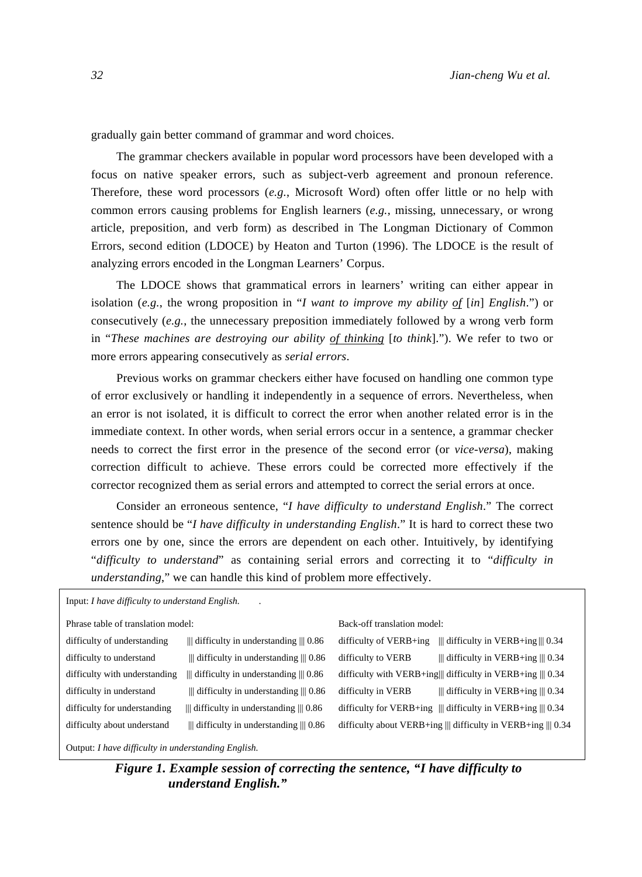gradually gain better command of grammar and word choices.

The grammar checkers available in popular word processors have been developed with a focus on native speaker errors, such as subject-verb agreement and pronoun reference. Therefore, these word processors (*e.g.*, Microsoft Word) often offer little or no help with common errors causing problems for English learners (*e.g.*, missing, unnecessary, or wrong article, preposition, and verb form) as described in The Longman Dictionary of Common Errors, second edition (LDOCE) by Heaton and Turton (1996). The LDOCE is the result of analyzing errors encoded in the Longman Learners' Corpus.

The LDOCE shows that grammatical errors in learners' writing can either appear in isolation (*e.g.*, the wrong proposition in "*I want to improve my ability of* [*in*] *English*.") or consecutively (*e.g.*, the unnecessary preposition immediately followed by a wrong verb form in "*These machines are destroying our ability of thinking* [*to think*]."). We refer to two or more errors appearing consecutively as *serial errors*.

Previous works on grammar checkers either have focused on handling one common type of error exclusively or handling it independently in a sequence of errors. Nevertheless, when an error is not isolated, it is difficult to correct the error when another related error is in the immediate context. In other words, when serial errors occur in a sentence, a grammar checker needs to correct the first error in the presence of the second error (or *vice-versa*), making correction difficult to achieve. These errors could be corrected more effectively if the corrector recognized them as serial errors and attempted to correct the serial errors at once.

Consider an erroneous sentence, "*I have difficulty to understand English*." The correct sentence should be "*I have difficulty in understanding English*." It is hard to correct these two errors one by one, since the errors are dependent on each other. Intuitively, by identifying "*difficulty to understand*" as containing serial errors and correcting it to "*difficulty in understanding*," we can handle this kind of problem more effectively.

| Input: I have difficulty to understand English.                   |                                                          |                          |                                                                                                   |  |
|-------------------------------------------------------------------|----------------------------------------------------------|--------------------------|---------------------------------------------------------------------------------------------------|--|
| Phrase table of translation model:<br>Back-off translation model: |                                                          |                          |                                                                                                   |  |
| difficulty of understanding                                       | $\parallel$ difficulty in understanding $\parallel$ 0.86 | difficulty of $VERB+ing$ | $\parallel$ difficulty in VERB+ing $\parallel$ 0.34                                               |  |
| difficulty to understand                                          | $\parallel$ difficulty in understanding $\parallel$ 0.86 | difficulty to VERB       | $\parallel$ difficulty in VERB+ing $\parallel$ 0.34                                               |  |
| difficulty with understanding                                     | $\parallel$ difficulty in understanding $\parallel$ 0.86 |                          | difficulty with VERB+ing   difficulty in VERB+ing    $0.34$                                       |  |
| difficulty in understand                                          | $\parallel$ difficulty in understanding $\parallel$ 0.86 | difficulty in VERB       | $\parallel$ difficulty in VERB+ing $\parallel$ 0.34                                               |  |
| difficulty for understanding                                      | $\parallel$ difficulty in understanding $\parallel$ 0.86 |                          | difficulty for VERB+ing $\parallel \parallel$ difficulty in VERB+ing $\parallel \parallel 0.34$   |  |
| difficulty about understand                                       | $\parallel$ difficulty in understanding $\parallel$ 0.86 |                          | difficulty about VERB+ing $\parallel \parallel$ difficulty in VERB+ing $\parallel \parallel 0.34$ |  |
|                                                                   |                                                          |                          |                                                                                                   |  |

Output: *I have difficulty in understanding English.*

*Figure 1. Example session of correcting the sentence, "I have difficulty to understand English."*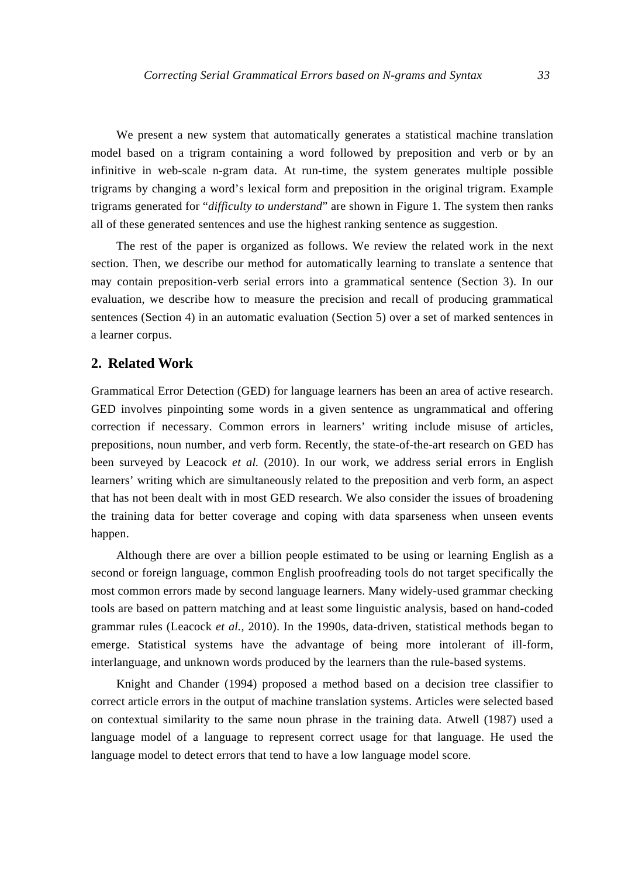We present a new system that automatically generates a statistical machine translation model based on a trigram containing a word followed by preposition and verb or by an infinitive in web-scale n-gram data. At run-time, the system generates multiple possible trigrams by changing a word's lexical form and preposition in the original trigram. Example trigrams generated for "*difficulty to understand*" are shown in Figure 1. The system then ranks all of these generated sentences and use the highest ranking sentence as suggestion.

The rest of the paper is organized as follows. We review the related work in the next section. Then, we describe our method for automatically learning to translate a sentence that may contain preposition-verb serial errors into a grammatical sentence (Section 3). In our evaluation, we describe how to measure the precision and recall of producing grammatical sentences (Section 4) in an automatic evaluation (Section 5) over a set of marked sentences in a learner corpus.

# **2. Related Work**

Grammatical Error Detection (GED) for language learners has been an area of active research. GED involves pinpointing some words in a given sentence as ungrammatical and offering correction if necessary. Common errors in learners' writing include misuse of articles, prepositions, noun number, and verb form. Recently, the state-of-the-art research on GED has been surveyed by Leacock *et al.* (2010). In our work, we address serial errors in English learners' writing which are simultaneously related to the preposition and verb form, an aspect that has not been dealt with in most GED research. We also consider the issues of broadening the training data for better coverage and coping with data sparseness when unseen events happen.

Although there are over a billion people estimated to be using or learning English as a second or foreign language, common English proofreading tools do not target specifically the most common errors made by second language learners. Many widely-used grammar checking tools are based on pattern matching and at least some linguistic analysis, based on hand-coded grammar rules (Leacock *et al.*, 2010). In the 1990s, data-driven, statistical methods began to emerge. Statistical systems have the advantage of being more intolerant of ill-form, interlanguage, and unknown words produced by the learners than the rule-based systems.

Knight and Chander (1994) proposed a method based on a decision tree classifier to correct article errors in the output of machine translation systems. Articles were selected based on contextual similarity to the same noun phrase in the training data. Atwell (1987) used a language model of a language to represent correct usage for that language. He used the language model to detect errors that tend to have a low language model score.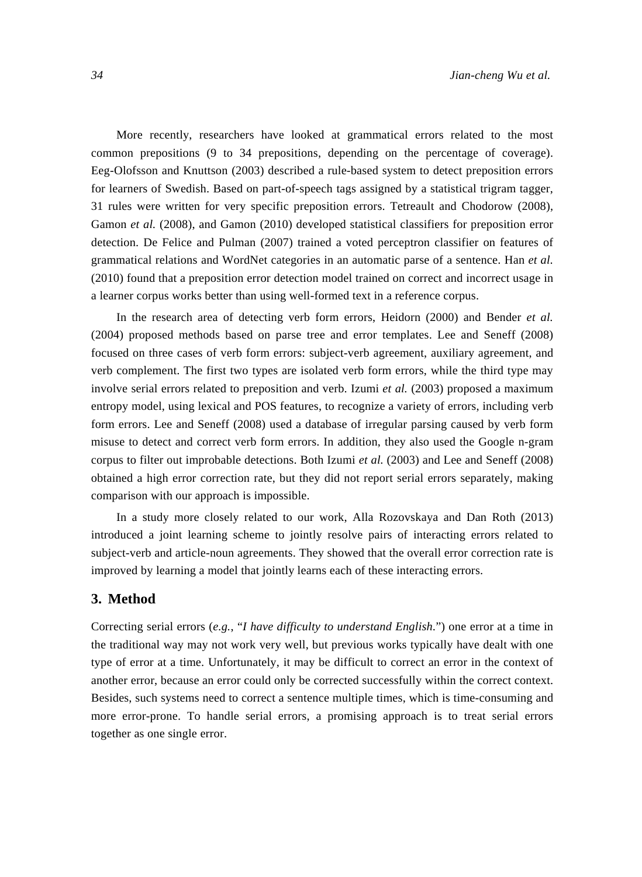More recently, researchers have looked at grammatical errors related to the most common prepositions (9 to 34 prepositions, depending on the percentage of coverage). Eeg-Olofsson and Knuttson (2003) described a rule-based system to detect preposition errors for learners of Swedish. Based on part-of-speech tags assigned by a statistical trigram tagger, 31 rules were written for very specific preposition errors. Tetreault and Chodorow (2008), Gamon *et al.* (2008), and Gamon (2010) developed statistical classifiers for preposition error detection. De Felice and Pulman (2007) trained a voted perceptron classifier on features of grammatical relations and WordNet categories in an automatic parse of a sentence. Han *et al.* (2010) found that a preposition error detection model trained on correct and incorrect usage in a learner corpus works better than using well-formed text in a reference corpus.

In the research area of detecting verb form errors, Heidorn (2000) and Bender *et al.* (2004) proposed methods based on parse tree and error templates. Lee and Seneff (2008) focused on three cases of verb form errors: subject-verb agreement, auxiliary agreement, and verb complement. The first two types are isolated verb form errors, while the third type may involve serial errors related to preposition and verb. Izumi *et al.* (2003) proposed a maximum entropy model, using lexical and POS features, to recognize a variety of errors, including verb form errors. Lee and Seneff (2008) used a database of irregular parsing caused by verb form misuse to detect and correct verb form errors. In addition, they also used the Google n-gram corpus to filter out improbable detections. Both Izumi *et al.* (2003) and Lee and Seneff (2008) obtained a high error correction rate, but they did not report serial errors separately, making comparison with our approach is impossible.

In a study more closely related to our work, Alla Rozovskaya and Dan Roth (2013) introduced a joint learning scheme to jointly resolve pairs of interacting errors related to subject-verb and article-noun agreements. They showed that the overall error correction rate is improved by learning a model that jointly learns each of these interacting errors.

## **3. Method**

Correcting serial errors (*e.g.*, "*I have difficulty to understand English*.") one error at a time in the traditional way may not work very well, but previous works typically have dealt with one type of error at a time. Unfortunately, it may be difficult to correct an error in the context of another error, because an error could only be corrected successfully within the correct context. Besides, such systems need to correct a sentence multiple times, which is time-consuming and more error-prone. To handle serial errors, a promising approach is to treat serial errors together as one single error.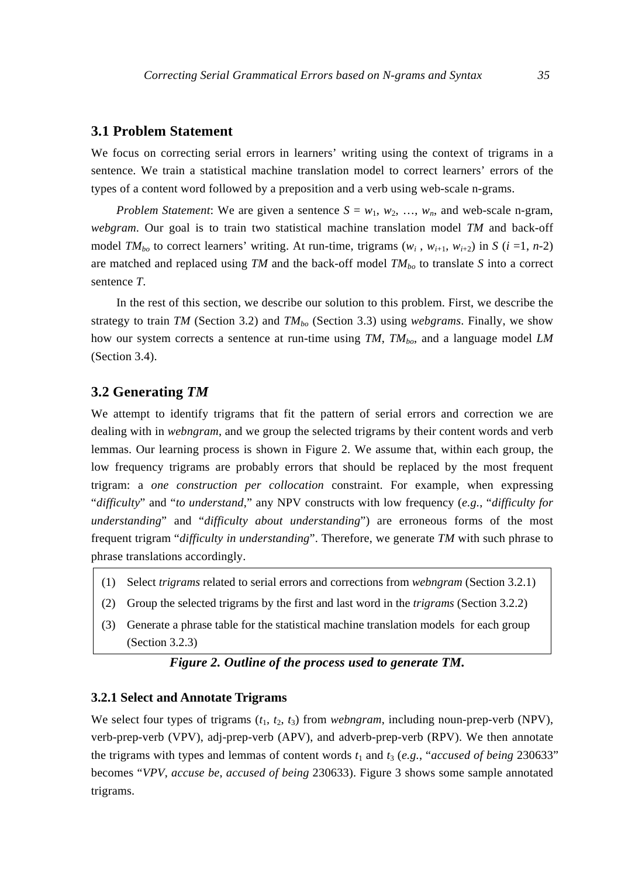#### **3.1 Problem Statement**

We focus on correcting serial errors in learners' writing using the context of trigrams in a sentence. We train a statistical machine translation model to correct learners' errors of the types of a content word followed by a preposition and a verb using web-scale n-grams.

*Problem Statement*: We are given a sentence  $S = w_1, w_2, ..., w_n$ , and web-scale n-gram, *webgram*. Our goal is to train two statistical machine translation model *TM* and back-off model *TM*<sub>bo</sub> to correct learners' writing. At run-time, trigrams  $(w_i, w_{i+1}, w_{i+2})$  in *S* (*i* =1, *n*-2) are matched and replaced using *TM* and the back-off model *TM*<sub>bo</sub> to translate *S* into a correct sentence *T*.

In the rest of this section, we describe our solution to this problem. First, we describe the strategy to train *TM* (Section 3.2) and *TM*<sub>bo</sub> (Section 3.3) using *webgrams*. Finally, we show how our system corrects a sentence at run-time using *TM*, *TM*<sub>bo</sub>, and a language model *LM* (Section 3.4).

## **3.2 Generating** *TM*

We attempt to identify trigrams that fit the pattern of serial errors and correction we are dealing with in *webngram*, and we group the selected trigrams by their content words and verb lemmas. Our learning process is shown in Figure 2. We assume that, within each group, the low frequency trigrams are probably errors that should be replaced by the most frequent trigram: a *one construction per collocation* constraint. For example, when expressing "*difficulty*" and "*to understand*," any NPV constructs with low frequency (*e.g.*, "*difficulty for understanding*" and "*difficulty about understanding*") are erroneous forms of the most frequent trigram "*difficulty in understanding*". Therefore, we generate *TM* with such phrase to phrase translations accordingly.

- (1) Select *trigrams* related to serial errors and corrections from *webngram* (Section 3.2.1)
- (2) Group the selected trigrams by the first and last word in the *trigrams* (Section 3.2.2)
- (3) Generate a phrase table for the statistical machine translation models for each group (Section 3.2.3)

# *Figure 2. Outline of the process used to generate TM.*

#### **3.2.1 Select and Annotate Trigrams**

We select four types of trigrams  $(t_1, t_2, t_3)$  from *webngram*, including noun-prep-verb (NPV), verb-prep-verb (VPV), adj-prep-verb (APV), and adverb-prep-verb (RPV). We then annotate the trigrams with types and lemmas of content words  $t_1$  and  $t_3$  (*e.g.*, "*accused of being* 230633" becomes "*VPV*, *accuse be*, *accused of being* 230633). Figure 3 shows some sample annotated trigrams.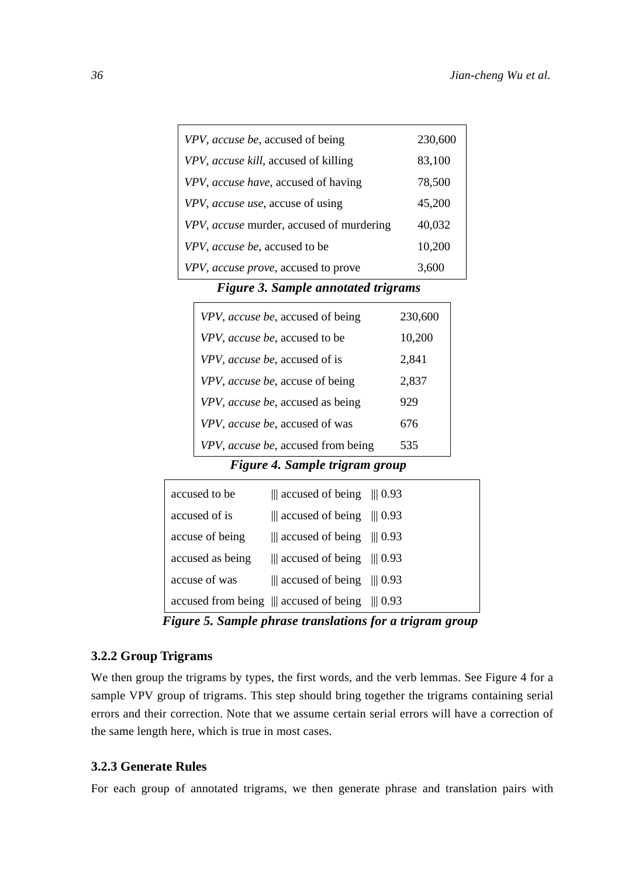| VPV, accuse be, accused of being         | 230,600 |
|------------------------------------------|---------|
| VPV, accuse kill, accused of killing     | 83,100  |
| VPV, accuse have, accused of having      | 78,500  |
| VPV, accuse use, accuse of using         | 45,200  |
| VPV, accuse murder, accused of murdering | 40,032  |
| VPV, accuse be, accused to be            | 10,200  |
| VPV, accuse prove, accused to prove      | 3,600   |

*Figure 3. Sample annotated trigrams* 

| VPV, accuse be, accused of being   | 230,600 |
|------------------------------------|---------|
| VPV, accuse be, accused to be      | 10,200  |
| VPV, accuse be, accused of is      | 2,841   |
| VPV, accuse be, accuse of being    | 2,837   |
| VPV, accuse be, accused as being   | 929     |
| VPV, accuse be, accused of was     | 676     |
| VPV, accuse be, accused from being | 535     |

*Figure 4. Sample trigram group* 

| accused to be    | $\parallel$ accused of being $\parallel$ 0.93      |  |
|------------------|----------------------------------------------------|--|
| accused of is    | $\parallel$ accused of being $\parallel$ 0.93      |  |
| accuse of being  | $\parallel$ accused of being $\parallel$ 0.93      |  |
| accused as being | $\parallel$ accused of being $\parallel$ 0.93      |  |
| accuse of was    | $\parallel$ accused of being $\parallel$ 0.93      |  |
|                  | accused from being $\ $ accused of being $\ $ 0.93 |  |

*Figure 5. Sample phrase translations for a trigram group* 

## **3.2.2 Group Trigrams**

We then group the trigrams by types, the first words, and the verb lemmas. See Figure 4 for a sample VPV group of trigrams. This step should bring together the trigrams containing serial errors and their correction. Note that we assume certain serial errors will have a correction of the same length here, which is true in most cases.

## **3.2.3 Generate Rules**

For each group of annotated trigrams, we then generate phrase and translation pairs with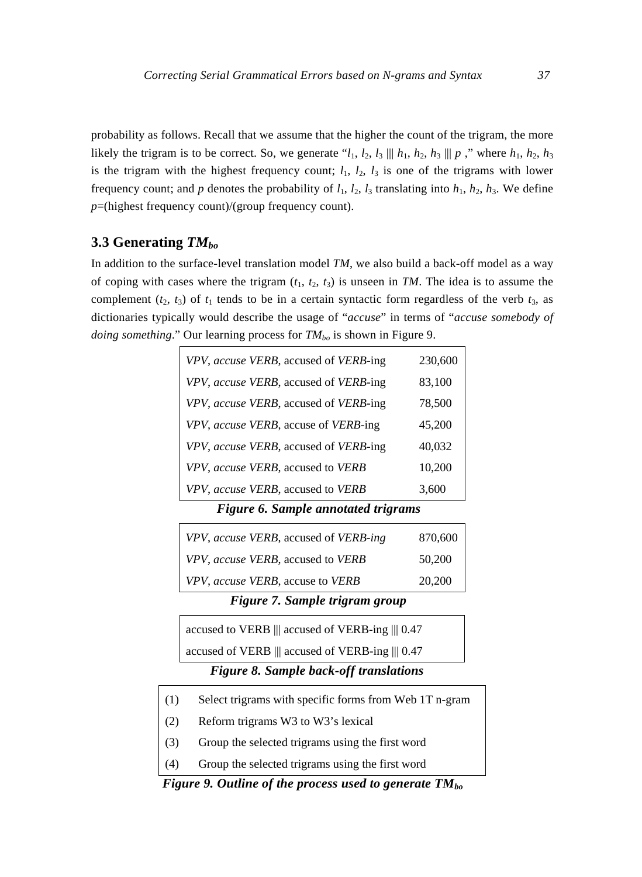probability as follows. Recall that we assume that the higher the count of the trigram, the more likely the trigram is to be correct. So, we generate " $l_1$ ,  $l_2$ ,  $l_3 \parallel h_1$ ,  $h_2$ ,  $h_3 \parallel p$ ," where  $h_1$ ,  $h_2$ ,  $h_3$ is the trigram with the highest frequency count;  $l_1$ ,  $l_2$ ,  $l_3$  is one of the trigrams with lower frequency count; and *p* denotes the probability of  $l_1$ ,  $l_2$ ,  $l_3$  translating into  $h_1$ ,  $h_2$ ,  $h_3$ . We define *p*=(highest frequency count)/(group frequency count).

# **3.3 Generating** *TMbo*

In addition to the surface-level translation model *TM*, we also build a back-off model as a way of coping with cases where the trigram  $(t_1, t_2, t_3)$  is unseen in *TM*. The idea is to assume the complement  $(t_2, t_3)$  of  $t_1$  tends to be in a certain syntactic form regardless of the verb  $t_3$ , as dictionaries typically would describe the usage of "*accuse*" in terms of "*accuse somebody of doing something*." Our learning process for  $TM_{bo}$  is shown in Figure 9.

| VPV, accuse VERB, accused of VERB-ing | 230,600 |
|---------------------------------------|---------|
| VPV, accuse VERB, accused of VERB-ing | 83,100  |
| VPV, accuse VERB, accused of VERB-ing | 78,500  |
| VPV, accuse VERB, accuse of VERB-ing  | 45,200  |
| VPV, accuse VERB, accused of VERB-ing | 40,032  |
| VPV, accuse VERB, accused to VERB     | 10,200  |
| VPV, accuse VERB, accused to VERB     | 3,600   |

*Figure 6. Sample annotated trigrams* 

| VPV, accuse VERB, accused of VERB-ing | 870,600 |
|---------------------------------------|---------|
| VPV, accuse VERB, accused to VERB     | 50,200  |
| VPV, accuse VERB, accuse to VERB      | 20,200  |

*Figure 7. Sample trigram group* 

| accused to VERB $\parallel$ accused of VERB-ing $\parallel$ 0.47 |  |  |  |  |
|------------------------------------------------------------------|--|--|--|--|
|                                                                  |  |  |  |  |

accused of VERB ||| accused of VERB-ing ||| 0.47

# *Figure 8. Sample back-off translations*

- (1) Select trigrams with specific forms from Web 1T n-gram
- (2) Reform trigrams W3 to W3's lexical
- (3) Group the selected trigrams using the first word
- (4) Group the selected trigrams using the first word

*Figure 9. Outline of the process used to generate TM*<sub>bo</sub>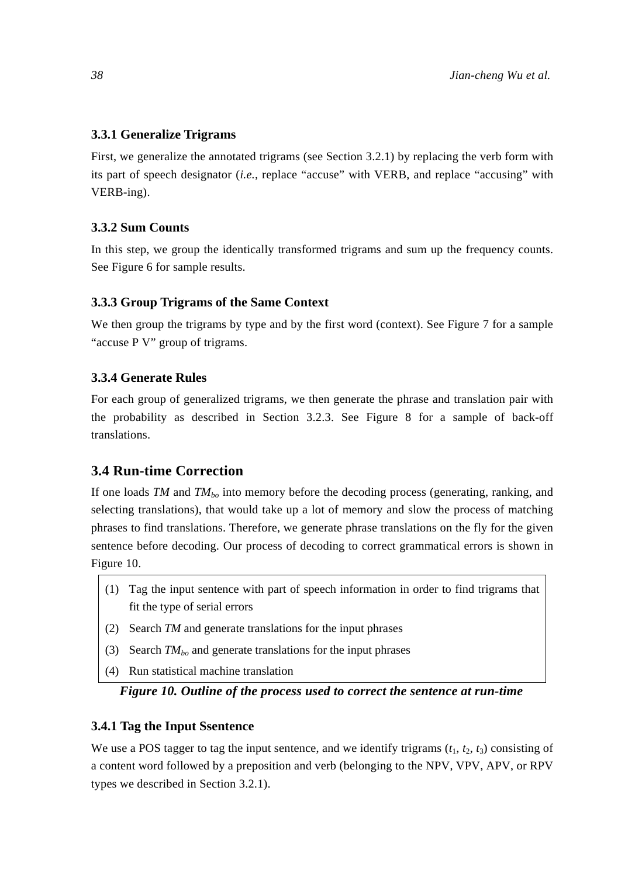## **3.3.1 Generalize Trigrams**

First, we generalize the annotated trigrams (see Section 3.2.1) by replacing the verb form with its part of speech designator (*i.e.*, replace "accuse" with VERB, and replace "accusing" with VERB-ing).

#### **3.3.2 Sum Counts**

In this step, we group the identically transformed trigrams and sum up the frequency counts. See Figure 6 for sample results.

#### **3.3.3 Group Trigrams of the Same Context**

We then group the trigrams by type and by the first word (context). See Figure 7 for a sample "accuse P V" group of trigrams.

## **3.3.4 Generate Rules**

For each group of generalized trigrams, we then generate the phrase and translation pair with the probability as described in Section 3.2.3. See Figure 8 for a sample of back-off translations.

# **3.4 Run-time Correction**

If one loads *TM* and *TM*<sub>bo</sub> into memory before the decoding process (generating, ranking, and selecting translations), that would take up a lot of memory and slow the process of matching phrases to find translations. Therefore, we generate phrase translations on the fly for the given sentence before decoding. Our process of decoding to correct grammatical errors is shown in Figure 10.

- (1) Tag the input sentence with part of speech information in order to find trigrams that fit the type of serial errors
- (2) Search *TM* and generate translations for the input phrases
- (3) Search  $TM_{bo}$  and generate translations for the input phrases
- (4) Run statistical machine translation

# *Figure 10. Outline of the process used to correct the sentence at run-time*

# **3.4.1 Tag the Input Ssentence**

We use a POS tagger to tag the input sentence, and we identify trigrams  $(t_1, t_2, t_3)$  consisting of a content word followed by a preposition and verb (belonging to the NPV, VPV, APV, or RPV types we described in Section 3.2.1).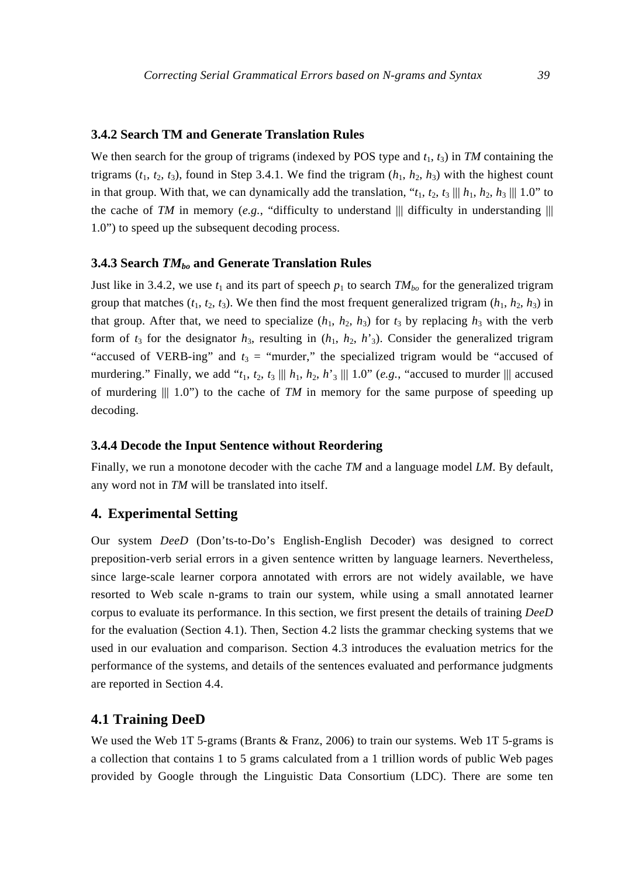### **3.4.2 Search TM and Generate Translation Rules**

We then search for the group of trigrams (indexed by POS type and  $t_1$ ,  $t_3$ ) in *TM* containing the trigrams  $(t_1, t_2, t_3)$ , found in Step 3.4.1. We find the trigram  $(h_1, h_2, h_3)$  with the highest count in that group. With that, we can dynamically add the translation, " $t_1$ ,  $t_2$ ,  $t_3$  |||  $h_1$ ,  $h_2$ ,  $h_3$  ||| 1.0" to the cache of *TM* in memory (*e.g.*, "difficulty to understand  $\|$  difficulty in understanding  $\|$ 1.0") to speed up the subsequent decoding process.

#### **3.4.3 Search** *TMbo* **and Generate Translation Rules**

Just like in 3.4.2, we use  $t_1$  and its part of speech  $p_1$  to search  $TM_{bo}$  for the generalized trigram group that matches  $(t_1, t_2, t_3)$ . We then find the most frequent generalized trigram  $(h_1, h_2, h_3)$  in that group. After that, we need to specialize  $(h_1, h_2, h_3)$  for  $t_3$  by replacing  $h_3$  with the verb form of  $t_3$  for the designator  $h_3$ , resulting in  $(h_1, h_2, h_3)$ . Consider the generalized trigram "accused of VERB-ing" and  $t_3$  = "murder," the specialized trigram would be "accused of murdering." Finally, we add " $t_1$ ,  $t_2$ ,  $t_3$  |||  $h_1$ ,  $h_2$ ,  $h_3$  ||| 1.0" (*e.g.*, "accused to murder || accused of murdering  $||| 1.0$ ") to the cache of *TM* in memory for the same purpose of speeding up decoding.

## **3.4.4 Decode the Input Sentence without Reordering**

Finally, we run a monotone decoder with the cache *TM* and a language model *LM*. By default, any word not in *TM* will be translated into itself.

## **4. Experimental Setting**

Our system *DeeD* (Don'ts-to-Do's English-English Decoder) was designed to correct preposition-verb serial errors in a given sentence written by language learners. Nevertheless, since large-scale learner corpora annotated with errors are not widely available, we have resorted to Web scale n-grams to train our system, while using a small annotated learner corpus to evaluate its performance. In this section, we first present the details of training *DeeD* for the evaluation (Section 4.1). Then, Section 4.2 lists the grammar checking systems that we used in our evaluation and comparison. Section 4.3 introduces the evaluation metrics for the performance of the systems, and details of the sentences evaluated and performance judgments are reported in Section 4.4.

#### **4.1 Training DeeD**

We used the Web 1T 5-grams (Brants & Franz, 2006) to train our systems. Web 1T 5-grams is a collection that contains 1 to 5 grams calculated from a 1 trillion words of public Web pages provided by Google through the Linguistic Data Consortium (LDC). There are some ten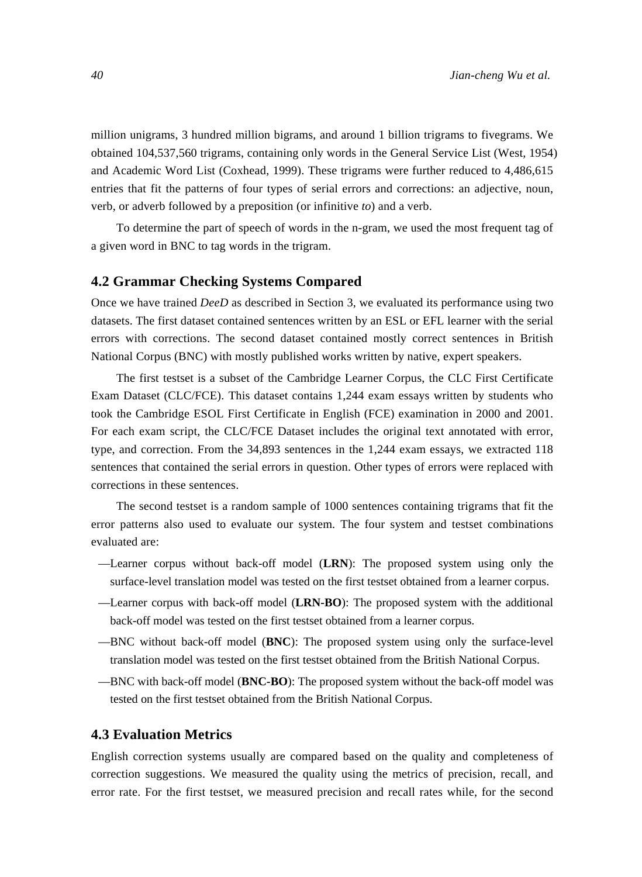million unigrams, 3 hundred million bigrams, and around 1 billion trigrams to fivegrams. We obtained 104,537,560 trigrams, containing only words in the General Service List (West, 1954) and Academic Word List (Coxhead, 1999). These trigrams were further reduced to 4,486,615 entries that fit the patterns of four types of serial errors and corrections: an adjective, noun, verb, or adverb followed by a preposition (or infinitive *to*) and a verb.

To determine the part of speech of words in the n-gram, we used the most frequent tag of a given word in BNC to tag words in the trigram.

## **4.2 Grammar Checking Systems Compared**

Once we have trained *DeeD* as described in Section 3, we evaluated its performance using two datasets. The first dataset contained sentences written by an ESL or EFL learner with the serial errors with corrections. The second dataset contained mostly correct sentences in British National Corpus (BNC) with mostly published works written by native, expert speakers.

The first testset is a subset of the Cambridge Learner Corpus, the CLC First Certificate Exam Dataset (CLC/FCE). This dataset contains 1,244 exam essays written by students who took the Cambridge ESOL First Certificate in English (FCE) examination in 2000 and 2001. For each exam script, the CLC/FCE Dataset includes the original text annotated with error, type, and correction. From the 34,893 sentences in the 1,244 exam essays, we extracted 118 sentences that contained the serial errors in question. Other types of errors were replaced with corrections in these sentences.

The second testset is a random sample of 1000 sentences containing trigrams that fit the error patterns also used to evaluate our system. The four system and testset combinations evaluated are:

- —Learner corpus without back-off model (**LRN**): The proposed system using only the surface-level translation model was tested on the first testset obtained from a learner corpus.
- —Learner corpus with back-off model (**LRN-BO**): The proposed system with the additional back-off model was tested on the first testset obtained from a learner corpus.
- —BNC without back-off model (**BNC**): The proposed system using only the surface-level translation model was tested on the first testset obtained from the British National Corpus.
- —BNC with back-off model (**BNC-BO**): The proposed system without the back-off model was tested on the first testset obtained from the British National Corpus.

# **4.3 Evaluation Metrics**

English correction systems usually are compared based on the quality and completeness of correction suggestions. We measured the quality using the metrics of precision, recall, and error rate. For the first testset, we measured precision and recall rates while, for the second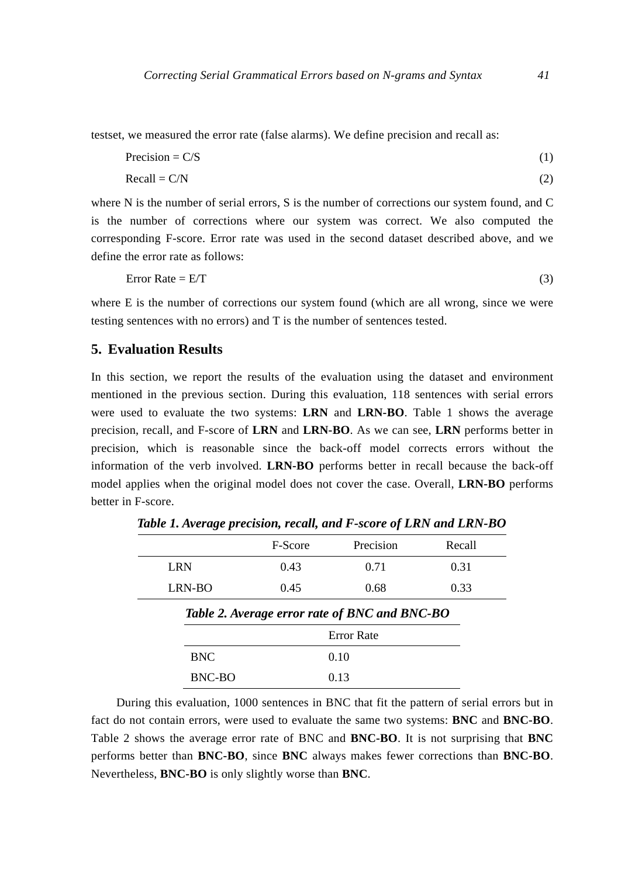testset, we measured the error rate (false alarms). We define precision and recall as:

| Precision = $C/S$ |  |
|-------------------|--|
|                   |  |

$$
Recall = C/N
$$
 (2)

where N is the number of serial errors, S is the number of corrections our system found, and C is the number of corrections where our system was correct. We also computed the corresponding F-score. Error rate was used in the second dataset described above, and we define the error rate as follows:

$$
Error Rate = E/T
$$
 (3)

where E is the number of corrections our system found (which are all wrong, since we were testing sentences with no errors) and T is the number of sentences tested.

# **5. Evaluation Results**

In this section, we report the results of the evaluation using the dataset and environment mentioned in the previous section. During this evaluation, 118 sentences with serial errors were used to evaluate the two systems: **LRN** and **LRN-BO**. Table 1 shows the average precision, recall, and F-score of **LRN** and **LRN-BO**. As we can see, **LRN** performs better in precision, which is reasonable since the back-off model corrects errors without the information of the verb involved. **LRN-BO** performs better in recall because the back-off model applies when the original model does not cover the case. Overall, **LRN-BO** performs better in F-score.

|            | F-Score | Precision                                     | Recall |
|------------|---------|-----------------------------------------------|--------|
| <b>LRN</b> | 0.43    | 0.71                                          | 0.31   |
| LRN-BO     | 0.45    | 0.68                                          | 0.33   |
|            |         | Table 2. Average error rate of BNC and BNC-BO |        |
|            |         | <b>Error</b> Rate                             |        |
| <b>BNC</b> |         | 0.10                                          |        |
| BNC-BO     |         | 0.13                                          |        |

*Table 1. Average precision, recall, and F-score of LRN and LRN-BO* 

During this evaluation, 1000 sentences in BNC that fit the pattern of serial errors but in fact do not contain errors, were used to evaluate the same two systems: **BNC** and **BNC-BO**. Table 2 shows the average error rate of BNC and **BNC-BO**. It is not surprising that **BNC** performs better than **BNC-BO**, since **BNC** always makes fewer corrections than **BNC-BO**. Nevertheless, **BNC-BO** is only slightly worse than **BNC**.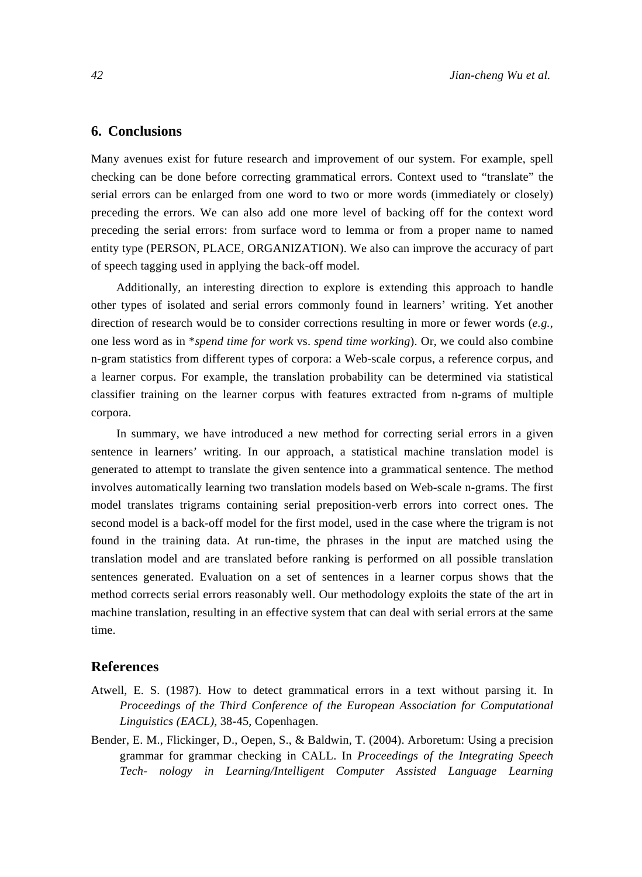# **6. Conclusions**

Many avenues exist for future research and improvement of our system. For example, spell checking can be done before correcting grammatical errors. Context used to "translate" the serial errors can be enlarged from one word to two or more words (immediately or closely) preceding the errors. We can also add one more level of backing off for the context word preceding the serial errors: from surface word to lemma or from a proper name to named entity type (PERSON, PLACE, ORGANIZATION). We also can improve the accuracy of part of speech tagging used in applying the back-off model.

Additionally, an interesting direction to explore is extending this approach to handle other types of isolated and serial errors commonly found in learners' writing. Yet another direction of research would be to consider corrections resulting in more or fewer words (*e.g.*, one less word as in \**spend time for work* vs. *spend time working*). Or, we could also combine n-gram statistics from different types of corpora: a Web-scale corpus, a reference corpus, and a learner corpus. For example, the translation probability can be determined via statistical classifier training on the learner corpus with features extracted from n-grams of multiple corpora.

In summary, we have introduced a new method for correcting serial errors in a given sentence in learners' writing. In our approach, a statistical machine translation model is generated to attempt to translate the given sentence into a grammatical sentence. The method involves automatically learning two translation models based on Web-scale n-grams. The first model translates trigrams containing serial preposition-verb errors into correct ones. The second model is a back-off model for the first model, used in the case where the trigram is not found in the training data. At run-time, the phrases in the input are matched using the translation model and are translated before ranking is performed on all possible translation sentences generated. Evaluation on a set of sentences in a learner corpus shows that the method corrects serial errors reasonably well. Our methodology exploits the state of the art in machine translation, resulting in an effective system that can deal with serial errors at the same time.

## **References**

- Atwell, E. S. (1987). How to detect grammatical errors in a text without parsing it. In *Proceedings of the Third Conference of the European Association for Computational Linguistics (EACL)*, 38-45, Copenhagen.
- Bender, E. M., Flickinger, D., Oepen, S., & Baldwin, T. (2004). Arboretum: Using a precision grammar for grammar checking in CALL. In *Proceedings of the Integrating Speech Tech- nology in Learning/Intelligent Computer Assisted Language Learning*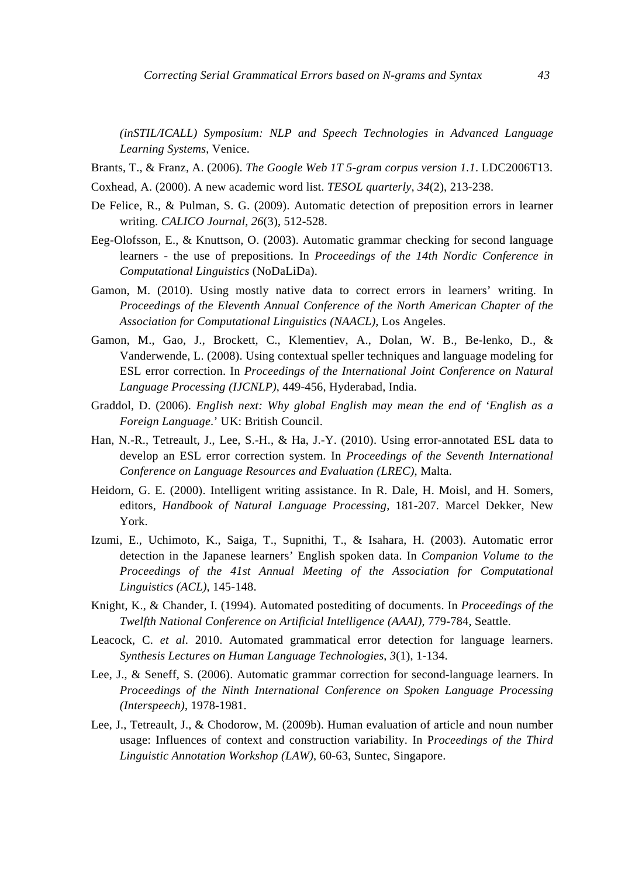*(inSTIL/ICALL) Symposium: NLP and Speech Technologies in Advanced Language Learning Systems*, Venice.

- Brants, T., & Franz, A. (2006). *The Google Web 1T 5-gram corpus version 1.1*. LDC2006T13.
- Coxhead, A. (2000). A new academic word list. *TESOL quarterly*, *34*(2), 213-238.
- De Felice, R., & Pulman, S. G. (2009). Automatic detection of preposition errors in learner writing. *CALICO Journal*, *26*(3), 512-528.
- Eeg-Olofsson, E., & Knuttson, O. (2003). Automatic grammar checking for second language learners - the use of prepositions. In *Proceedings of the 14th Nordic Conference in Computational Linguistics* (NoDaLiDa).
- Gamon, M. (2010). Using mostly native data to correct errors in learners' writing. In *Proceedings of the Eleventh Annual Conference of the North American Chapter of the Association for Computational Linguistics (NAACL)*, Los Angeles.
- Gamon, M., Gao, J., Brockett, C., Klementiev, A., Dolan, W. B., Be-lenko, D., & Vanderwende, L. (2008). Using contextual speller techniques and language modeling for ESL error correction. In *Proceedings of the International Joint Conference on Natural Language Processing (IJCNLP)*, 449-456, Hyderabad, India.
- Graddol, D. (2006). *English next: Why global English may mean the end of 'English as a Foreign Language*.' UK: British Council.
- Han, N.-R., Tetreault, J., Lee, S.-H., & Ha, J.-Y. (2010). Using error-annotated ESL data to develop an ESL error correction system. In *Proceedings of the Seventh International Conference on Language Resources and Evaluation (LREC)*, Malta.
- Heidorn, G. E. (2000). Intelligent writing assistance. In R. Dale, H. Moisl, and H. Somers, editors, *Handbook of Natural Language Processing*, 181-207. Marcel Dekker, New York.
- Izumi, E., Uchimoto, K., Saiga, T., Supnithi, T., & Isahara, H. (2003). Automatic error detection in the Japanese learners' English spoken data. In *Companion Volume to the Proceedings of the 41st Annual Meeting of the Association for Computational Linguistics (ACL)*, 145-148.
- Knight, K., & Chander, I. (1994). Automated postediting of documents. In *Proceedings of the Twelfth National Conference on Artificial Intelligence (AAAI)*, 779-784, Seattle.
- Leacock, C. *et al*. 2010. Automated grammatical error detection for language learners. *Synthesis Lectures on Human Language Technologies*, *3*(1), 1-134.
- Lee, J., & Seneff, S. (2006). Automatic grammar correction for second-language learners. In *Proceedings of the Ninth International Conference on Spoken Language Processing (Interspeech)*, 1978-1981.
- Lee, J., Tetreault, J., & Chodorow, M. (2009b). Human evaluation of article and noun number usage: Influences of context and construction variability. In P*roceedings of the Third Linguistic Annotation Workshop (LAW)*, 60-63, Suntec, Singapore.